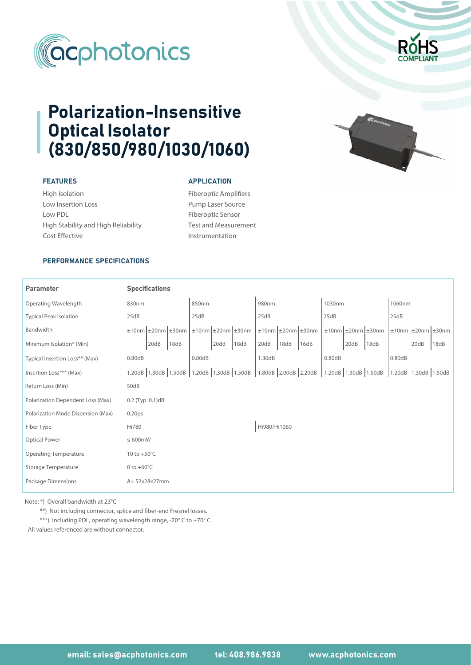



# Polarization-Insensitive Optical Isolator (830/850/980/1030/1060)

# FEATURES

High Isolation Low Insertion Loss Low PDL High Stability and High Reliability Cost Effective

### **APPLICATION**

Fiberoptic Amplifiers Pump Laser Source Fiberoptic Sensor Test and Measurement Instrumentation

# PERFORMANCE SPECIFICATIONS

#### Parameter 830nm 50dB Operating Wavelength Polarization Dependent Loss (Max) Polarization Mode Dispersion (Max) 10 to +50°C 0.20ps Typical Peak Isolation Insertion Loss\*\*\* (Max) Optical Power Operating Temperature Storage Temperature Package Dimensions Specifications ≤ 600mW 0 to  $+60^{\circ}$ C A= 52x28x27mm Minimum Isolation\* (Min) 0.80dB 0.80dB 0.80dB 1.30dB 0.2 (Typ. 0.1)dB Fiber Type ±20nm ±30nm ±10nm Return Loss (Min) 25dB 25dB 25dB Bandwidth 25dB 25dB Typical Insertion Loss\*\* (Max) 0.80dB 0.80dB 0.80dB 1.30dB 0.80dB 0.80dB 0.80dB Hi780 1060nm 20dB 18dB 850nm 980nm 980nm 1030nm  $\pm 10$ nm  $\pm 20$ nm  $\pm 30$ nm  $\pm 10$ nm  $\pm 20$ nm  $\pm 10$ nm  $\pm 20$ nm  $\pm 30$ nm  $\pm 10$ nm  $\pm 20$ nm  $\pm 30$ nm 20dB |18dB |20dB |18dB |16dB | |20dB |18dB | |20dB |18dB 1.20dB 1.50dB 1.30dB 1.20dB 1.50dB 1.30dB 1.80dB 2.20dB 2.00dB 1.20dB 1.50dB 1.30dB 1.20dB 1.50dB 1.30dB Hi980/Hi1060

Note: \*) Overall bandwidth at 23°C

\*\*) Not including connector, splice and fiber-end Fresnel losses.

\*\*\*) Including PDL, operating wavelength range, -20° C to +70° C.

All values referenced are without connector.



email: sales@acphotonics.com tel: 408.986.9838 www.acphotonics.com